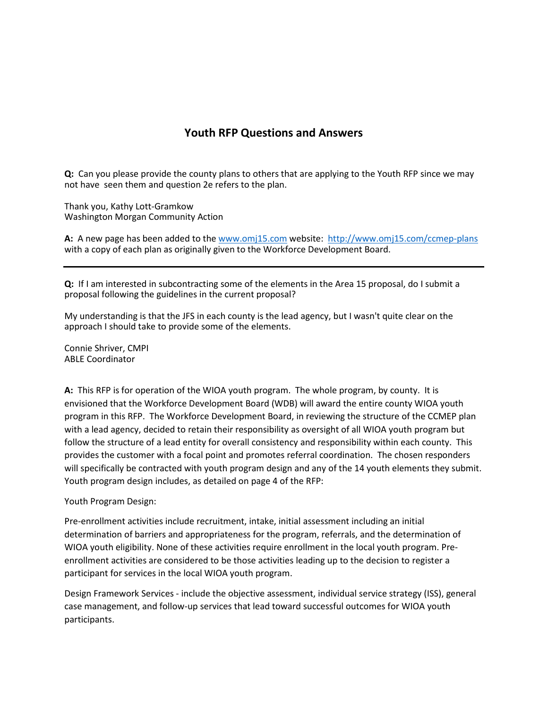## **Youth RFP Questions and Answers**

**Q:** Can you please provide the county plans to others that are applying to the Youth RFP since we may not have seen them and question 2e refers to the plan.

Thank you, Kathy Lott-Gramkow Washington Morgan Community Action

**A:** A new page has been added to the [www.omj15.com](http://www.omj15.com/) website:<http://www.omj15.com/ccmep-plans> with a copy of each plan as originally given to the Workforce Development Board.

**Q:** If I am interested in subcontracting some of the elements in the Area 15 proposal, do I submit a proposal following the guidelines in the current proposal?

My understanding is that the JFS in each county is the lead agency, but I wasn't quite clear on the approach I should take to provide some of the elements.

Connie Shriver, CMPI ABLE Coordinator

**A:** This RFP is for operation of the WIOA youth program. The whole program, by county. It is envisioned that the Workforce Development Board (WDB) will award the entire county WIOA youth program in this RFP. The Workforce Development Board, in reviewing the structure of the CCMEP plan with a lead agency, decided to retain their responsibility as oversight of all WIOA youth program but follow the structure of a lead entity for overall consistency and responsibility within each county. This provides the customer with a focal point and promotes referral coordination. The chosen responders will specifically be contracted with youth program design and any of the 14 youth elements they submit. Youth program design includes, as detailed on page 4 of the RFP:

## Youth Program Design:

Pre-enrollment activities include recruitment, intake, initial assessment including an initial determination of barriers and appropriateness for the program, referrals, and the determination of WIOA youth eligibility. None of these activities require enrollment in the local youth program. Preenrollment activities are considered to be those activities leading up to the decision to register a participant for services in the local WIOA youth program.

Design Framework Services - include the objective assessment, individual service strategy (ISS), general case management, and follow-up services that lead toward successful outcomes for WIOA youth participants.